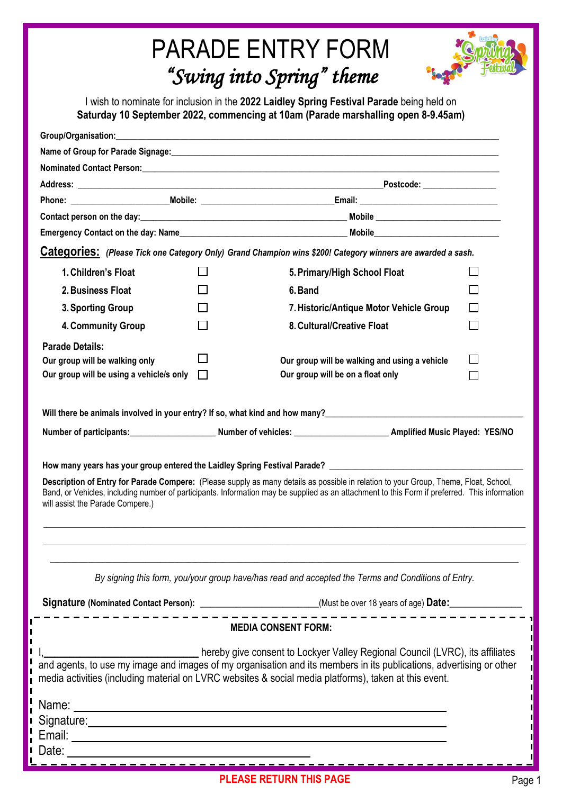# PARADE ENTRY FORM *"Swing into Spring" theme*



I wish to nominate for inclusion in the **2022 Laidley Spring Festival Parade** being held on **Saturday 10 September 2022, commencing at 10am (Parade marshalling open 8-9.45am)** 

|                                                                                                    |  | Group/Organisation: enterprise that the contract of the contract of the contract of the contract of the contract of the contract of the contract of the contract of the contract of the contract of the contract of the contra                                                                                                                                                                                                                                                                                                      |  |
|----------------------------------------------------------------------------------------------------|--|-------------------------------------------------------------------------------------------------------------------------------------------------------------------------------------------------------------------------------------------------------------------------------------------------------------------------------------------------------------------------------------------------------------------------------------------------------------------------------------------------------------------------------------|--|
|                                                                                                    |  |                                                                                                                                                                                                                                                                                                                                                                                                                                                                                                                                     |  |
|                                                                                                    |  |                                                                                                                                                                                                                                                                                                                                                                                                                                                                                                                                     |  |
|                                                                                                    |  | Postcode: ________________                                                                                                                                                                                                                                                                                                                                                                                                                                                                                                          |  |
|                                                                                                    |  |                                                                                                                                                                                                                                                                                                                                                                                                                                                                                                                                     |  |
|                                                                                                    |  |                                                                                                                                                                                                                                                                                                                                                                                                                                                                                                                                     |  |
|                                                                                                    |  |                                                                                                                                                                                                                                                                                                                                                                                                                                                                                                                                     |  |
|                                                                                                    |  | Categories: (Please Tick one Category Only) Grand Champion wins \$200! Category winners are awarded a sash.                                                                                                                                                                                                                                                                                                                                                                                                                         |  |
| 1. Children's Float                                                                                |  | 5. Primary/High School Float                                                                                                                                                                                                                                                                                                                                                                                                                                                                                                        |  |
| 2. Business Float                                                                                  |  | 6. Band                                                                                                                                                                                                                                                                                                                                                                                                                                                                                                                             |  |
| 3. Sporting Group                                                                                  |  | 7. Historic/Antique Motor Vehicle Group                                                                                                                                                                                                                                                                                                                                                                                                                                                                                             |  |
| 4. Community Group                                                                                 |  | 8. Cultural/Creative Float                                                                                                                                                                                                                                                                                                                                                                                                                                                                                                          |  |
| <b>Parade Details:</b>                                                                             |  |                                                                                                                                                                                                                                                                                                                                                                                                                                                                                                                                     |  |
| Our group will be walking only                                                                     |  | Our group will be walking and using a vehicle                                                                                                                                                                                                                                                                                                                                                                                                                                                                                       |  |
| Our group will be using a vehicle/s only                                                           |  | Our group will be on a float only                                                                                                                                                                                                                                                                                                                                                                                                                                                                                                   |  |
| will assist the Parade Compere.)                                                                   |  | Will there be animals involved in your entry? If so, what kind and how many?<br>Will there be animals involved in your entry? If so, what kind and how many?<br>Number of participants: Number of vehicles: Amplified Music Played: YES/NO<br>Description of Entry for Parade Compere: (Please supply as many details as possible in relation to your Group, Theme, Float, School,<br>Band, or Vehicles, including number of participants. Information may be supplied as an attachment to this Form if preferred. This information |  |
| By signing this form, you/your group have/has read and accepted the Terms and Conditions of Entry. |  |                                                                                                                                                                                                                                                                                                                                                                                                                                                                                                                                     |  |
|                                                                                                    |  | <b>MEDIA CONSENT FORM:</b>                                                                                                                                                                                                                                                                                                                                                                                                                                                                                                          |  |
|                                                                                                    |  | media activities (including material on LVRC websites & social media platforms), taken at this event.                                                                                                                                                                                                                                                                                                                                                                                                                               |  |
|                                                                                                    |  | Name: <u>Name:</u> Name: Name: Name: Name: Name: Name: Name: Name: Name: Name: Name: Name: Name: Name: Name: Name: Name: Name: Name: Name: Name: Name: Name: Name: Name: Name: Name: Name: Name: Name: Name: Name: Name: Name: Name                                                                                                                                                                                                                                                                                                 |  |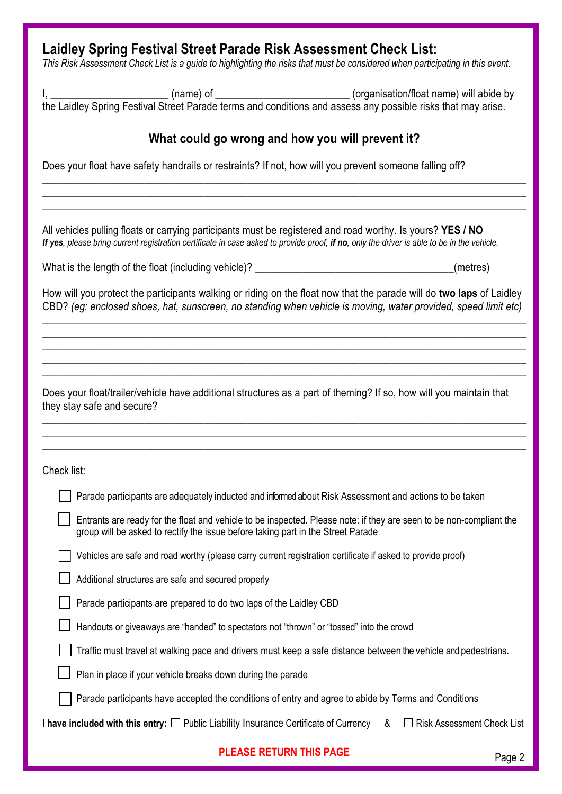## **Laidley Spring Festival Street Parade Risk Assessment Check List:**

*This Risk Assessment Check List is a guide to highlighting the risks that must be considered when participating in this event.* 

I, \_\_\_\_\_\_\_\_\_\_\_\_\_\_\_\_\_\_\_\_\_\_\_\_\_\_(name) of \_\_\_\_\_\_\_\_\_\_\_\_\_\_\_\_\_\_\_\_\_\_\_\_\_\_\_\_\_\_(organisation/float name) will abide by the Laidley Spring Festival Street Parade terms and conditions and assess any possible risks that may arise.

#### **What could go wrong and how you will prevent it?**

\_\_\_\_\_\_\_\_\_\_\_\_\_\_\_\_\_\_\_\_\_\_\_\_\_\_\_\_\_\_\_\_\_\_\_\_\_\_\_\_\_\_\_\_\_\_\_\_\_\_\_\_\_\_\_\_\_\_\_\_\_\_\_\_\_\_\_\_\_\_\_\_\_\_\_\_\_\_\_\_\_\_\_\_\_\_\_\_\_\_ \_\_\_\_\_\_\_\_\_\_\_\_\_\_\_\_\_\_\_\_\_\_\_\_\_\_\_\_\_\_\_\_\_\_\_\_\_\_\_\_\_\_\_\_\_\_\_\_\_\_\_\_\_\_\_\_\_\_\_\_\_\_\_\_\_\_\_\_\_\_\_\_\_\_\_\_\_\_\_\_\_\_\_\_\_\_\_\_\_\_ \_\_\_\_\_\_\_\_\_\_\_\_\_\_\_\_\_\_\_\_\_\_\_\_\_\_\_\_\_\_\_\_\_\_\_\_\_\_\_\_\_\_\_\_\_\_\_\_\_\_\_\_\_\_\_\_\_\_\_\_\_\_\_\_\_\_\_\_\_\_\_\_\_\_\_\_\_\_\_\_\_\_\_\_\_\_\_\_\_\_

Does your float have safety handrails or restraints? If not, how will you prevent someone falling off?

All vehicles pulling floats or carrying participants must be registered and road worthy. Is yours? **YES / NO** *If yes, please bring current registration certificate in case asked to provide proof, if no, only the driver is able to be in the vehicle.*

What is the length of the float (including vehicle)? \_\_\_\_\_\_\_\_\_\_\_\_\_\_\_\_\_\_\_\_\_\_\_\_\_\_\_\_\_\_\_\_\_\_\_\_\_(metres)

How will you protect the participants walking or riding on the float now that the parade will do **two laps** of Laidley CBD? *(eg: enclosed shoes, hat, sunscreen, no standing when vehicle is moving, water provided, speed limit etc)*

*\_\_\_\_\_\_\_\_\_\_\_\_\_\_\_\_\_\_\_\_\_\_\_\_\_\_\_\_\_\_\_\_\_\_\_\_\_\_\_\_\_\_\_\_\_\_\_\_\_\_\_\_\_\_\_\_\_\_\_\_\_\_\_\_\_\_\_\_\_\_\_\_\_\_\_\_\_\_\_\_\_\_\_\_\_\_\_\_\_\_ \_\_\_\_\_\_\_\_\_\_\_\_\_\_\_\_\_\_\_\_\_\_\_\_\_\_\_\_\_\_\_\_\_\_\_\_\_\_\_\_\_\_\_\_\_\_\_\_\_\_\_\_\_\_\_\_\_\_\_\_\_\_\_\_\_\_\_\_\_\_\_\_\_\_\_\_\_\_\_\_\_\_\_\_\_\_\_\_\_\_ \_\_\_\_\_\_\_\_\_\_\_\_\_\_\_\_\_\_\_\_\_\_\_\_\_\_\_\_\_\_\_\_\_\_\_\_\_\_\_\_\_\_\_\_\_\_\_\_\_\_\_\_\_\_\_\_\_\_\_\_\_\_\_\_\_\_\_\_\_\_\_\_\_\_\_\_\_\_\_\_\_\_\_\_\_\_\_\_\_\_ \_\_\_\_\_\_\_\_\_\_\_\_\_\_\_\_\_\_\_\_\_\_\_\_\_\_\_\_\_\_\_\_\_\_\_\_\_\_\_\_\_\_\_\_\_\_\_\_\_\_\_\_\_\_\_\_\_\_\_\_\_\_\_\_\_\_\_\_\_\_\_\_\_\_\_\_\_\_\_\_\_\_\_\_\_\_\_\_\_\_ \_\_\_\_\_\_\_\_\_\_\_\_\_\_\_\_\_\_\_\_\_\_\_\_\_\_\_\_\_\_\_\_\_\_\_\_\_\_\_\_\_\_\_\_\_\_\_\_\_\_\_\_\_\_\_\_\_\_\_\_\_\_\_\_\_\_\_\_\_\_\_\_\_\_\_\_\_\_\_\_\_\_\_\_\_\_\_\_\_\_*

Does your float/trailer/vehicle have additional structures as a part of theming? If so, how will you maintain that they stay safe and secure?

\_\_\_\_\_\_\_\_\_\_\_\_\_\_\_\_\_\_\_\_\_\_\_\_\_\_\_\_\_\_\_\_\_\_\_\_\_\_\_\_\_\_\_\_\_\_\_\_\_\_\_\_\_\_\_\_\_\_\_\_\_\_\_\_\_\_\_\_\_\_\_\_\_\_\_\_\_\_\_\_\_\_\_\_\_\_\_\_\_\_ \_\_\_\_\_\_\_\_\_\_\_\_\_\_\_\_\_\_\_\_\_\_\_\_\_\_\_\_\_\_\_\_\_\_\_\_\_\_\_\_\_\_\_\_\_\_\_\_\_\_\_\_\_\_\_\_\_\_\_\_\_\_\_\_\_\_\_\_\_\_\_\_\_\_\_\_\_\_\_\_\_\_\_\_\_\_\_\_\_\_ \_\_\_\_\_\_\_\_\_\_\_\_\_\_\_\_\_\_\_\_\_\_\_\_\_\_\_\_\_\_\_\_\_\_\_\_\_\_\_\_\_\_\_\_\_\_\_\_\_\_\_\_\_\_\_\_\_\_\_\_\_\_\_\_\_\_\_\_\_\_\_\_\_\_\_\_\_\_\_\_\_\_\_\_\_\_\_\_\_\_

Check list:

| Parade participants are adequately inducted and informed about Risk Assessment and actions to be taken                                                                                                  |
|---------------------------------------------------------------------------------------------------------------------------------------------------------------------------------------------------------|
| Entrants are ready for the float and vehicle to be inspected. Please note: if they are seen to be non-compliant the<br>group will be asked to rectify the issue before taking part in the Street Parade |
| Vehicles are safe and road worthy (please carry current registration certificate if asked to provide proof)                                                                                             |
| Additional structures are safe and secured properly                                                                                                                                                     |
| Parade participants are prepared to do two laps of the Laidley CBD                                                                                                                                      |
| Handouts or giveaways are "handed" to spectators not "thrown" or "tossed" into the crowd                                                                                                                |
| Traffic must travel at walking pace and drivers must keep a safe distance between the vehicle and pedestrians.                                                                                          |
| Plan in place if your vehicle breaks down during the parade                                                                                                                                             |
| Parade participants have accepted the conditions of entry and agree to abide by Terms and Conditions                                                                                                    |
| I have included with this entry: $\square$ Public Liability Insurance Certificate of Currency<br><b>Risk Assessment Check List</b><br>&                                                                 |
|                                                                                                                                                                                                         |

# **PLEASE RETURN THIS PAGE** Page 2